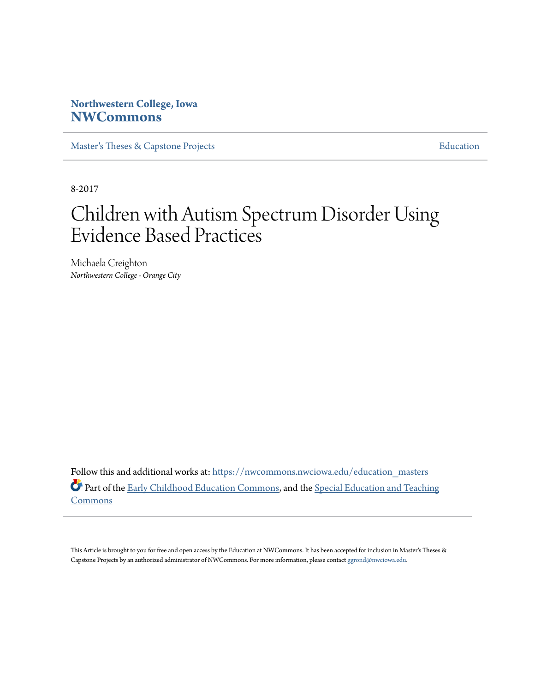# **Northwestern College, Iowa [NWCommons](https://nwcommons.nwciowa.edu?utm_source=nwcommons.nwciowa.edu%2Feducation_masters%2F53&utm_medium=PDF&utm_campaign=PDFCoverPages)**

[Master's Theses & Capstone Projects](https://nwcommons.nwciowa.edu/education_masters?utm_source=nwcommons.nwciowa.edu%2Feducation_masters%2F53&utm_medium=PDF&utm_campaign=PDFCoverPages) **[Education](https://nwcommons.nwciowa.edu/education?utm_source=nwcommons.nwciowa.edu%2Feducation_masters%2F53&utm_medium=PDF&utm_campaign=PDFCoverPages)** 

8-2017

# Children with Autism Spectrum Disorder Using Evidence Based Practices

Michaela Creighton *Northwestern College - Orange City*

Follow this and additional works at: [https://nwcommons.nwciowa.edu/education\\_masters](https://nwcommons.nwciowa.edu/education_masters?utm_source=nwcommons.nwciowa.edu%2Feducation_masters%2F53&utm_medium=PDF&utm_campaign=PDFCoverPages) Part of the [Early Childhood Education Commons,](http://network.bepress.com/hgg/discipline/1377?utm_source=nwcommons.nwciowa.edu%2Feducation_masters%2F53&utm_medium=PDF&utm_campaign=PDFCoverPages) and the [Special Education and Teaching](http://network.bepress.com/hgg/discipline/801?utm_source=nwcommons.nwciowa.edu%2Feducation_masters%2F53&utm_medium=PDF&utm_campaign=PDFCoverPages) [Commons](http://network.bepress.com/hgg/discipline/801?utm_source=nwcommons.nwciowa.edu%2Feducation_masters%2F53&utm_medium=PDF&utm_campaign=PDFCoverPages)

This Article is brought to you for free and open access by the Education at NWCommons. It has been accepted for inclusion in Master's Theses & Capstone Projects by an authorized administrator of NWCommons. For more information, please contact [ggrond@nwciowa.edu.](mailto:ggrond@nwciowa.edu)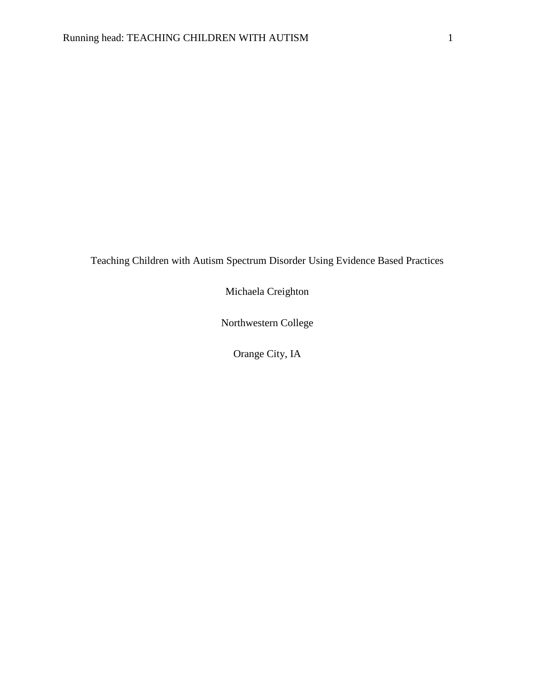Teaching Children with Autism Spectrum Disorder Using Evidence Based Practices

Michaela Creighton

Northwestern College

Orange City, IA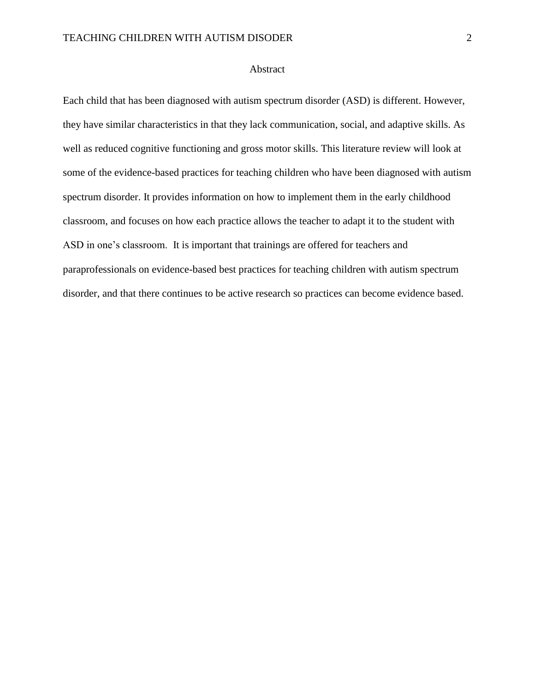#### Abstract

Each child that has been diagnosed with autism spectrum disorder (ASD) is different. However, they have similar characteristics in that they lack communication, social, and adaptive skills. As well as reduced cognitive functioning and gross motor skills. This literature review will look at some of the evidence-based practices for teaching children who have been diagnosed with autism spectrum disorder. It provides information on how to implement them in the early childhood classroom, and focuses on how each practice allows the teacher to adapt it to the student with ASD in one's classroom. It is important that trainings are offered for teachers and paraprofessionals on evidence-based best practices for teaching children with autism spectrum disorder, and that there continues to be active research so practices can become evidence based.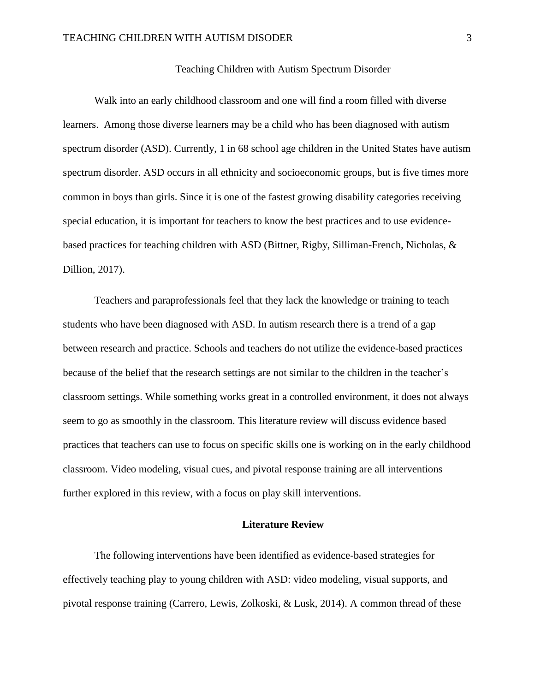#### Teaching Children with Autism Spectrum Disorder

Walk into an early childhood classroom and one will find a room filled with diverse learners. Among those diverse learners may be a child who has been diagnosed with autism spectrum disorder (ASD). Currently, 1 in 68 school age children in the United States have autism spectrum disorder. ASD occurs in all ethnicity and socioeconomic groups, but is five times more common in boys than girls. Since it is one of the fastest growing disability categories receiving special education, it is important for teachers to know the best practices and to use evidencebased practices for teaching children with ASD (Bittner, Rigby, Silliman-French, Nicholas, & Dillion, 2017).

Teachers and paraprofessionals feel that they lack the knowledge or training to teach students who have been diagnosed with ASD. In autism research there is a trend of a gap between research and practice. Schools and teachers do not utilize the evidence-based practices because of the belief that the research settings are not similar to the children in the teacher's classroom settings. While something works great in a controlled environment, it does not always seem to go as smoothly in the classroom. This literature review will discuss evidence based practices that teachers can use to focus on specific skills one is working on in the early childhood classroom. Video modeling, visual cues, and pivotal response training are all interventions further explored in this review, with a focus on play skill interventions.

# **Literature Review**

The following interventions have been identified as evidence-based strategies for effectively teaching play to young children with ASD: video modeling, visual supports, and pivotal response training (Carrero, Lewis, Zolkoski, & Lusk, 2014). A common thread of these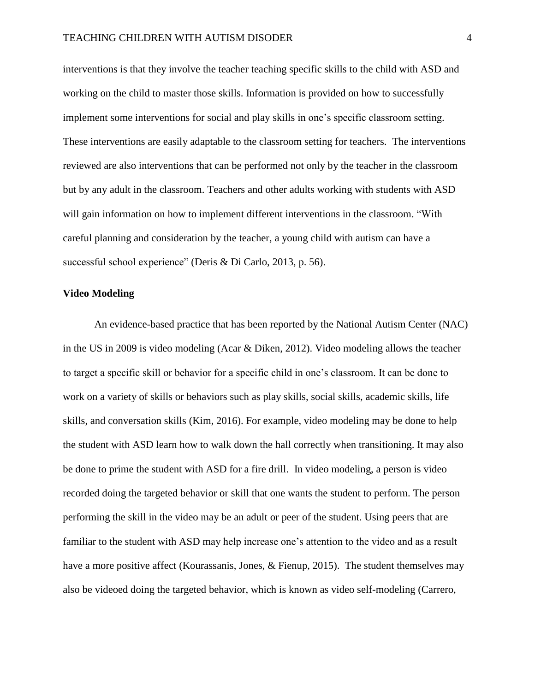interventions is that they involve the teacher teaching specific skills to the child with ASD and working on the child to master those skills. Information is provided on how to successfully implement some interventions for social and play skills in one's specific classroom setting. These interventions are easily adaptable to the classroom setting for teachers. The interventions reviewed are also interventions that can be performed not only by the teacher in the classroom but by any adult in the classroom. Teachers and other adults working with students with ASD will gain information on how to implement different interventions in the classroom. "With careful planning and consideration by the teacher, a young child with autism can have a successful school experience" (Deris & Di Carlo, 2013, p. 56).

#### **Video Modeling**

An evidence-based practice that has been reported by the National Autism Center (NAC) in the US in 2009 is video modeling (Acar & Diken, 2012). Video modeling allows the teacher to target a specific skill or behavior for a specific child in one's classroom. It can be done to work on a variety of skills or behaviors such as play skills, social skills, academic skills, life skills, and conversation skills (Kim, 2016). For example, video modeling may be done to help the student with ASD learn how to walk down the hall correctly when transitioning. It may also be done to prime the student with ASD for a fire drill. In video modeling, a person is video recorded doing the targeted behavior or skill that one wants the student to perform. The person performing the skill in the video may be an adult or peer of the student. Using peers that are familiar to the student with ASD may help increase one's attention to the video and as a result have a more positive affect (Kourassanis, Jones, & Fienup, 2015). The student themselves may also be videoed doing the targeted behavior, which is known as video self-modeling (Carrero,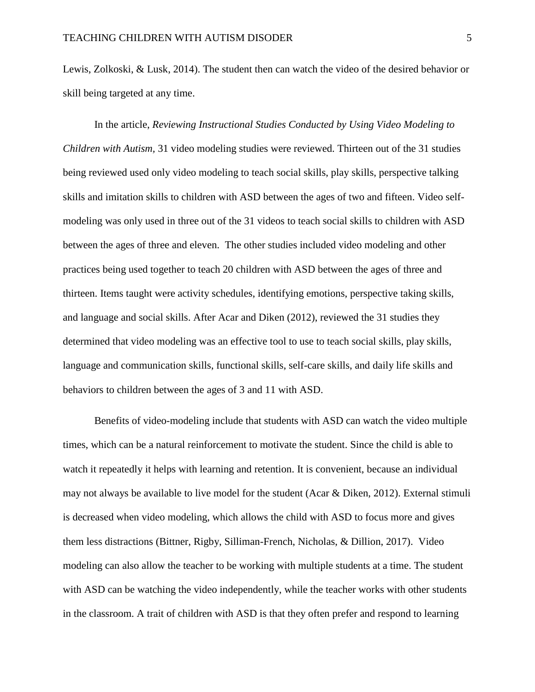Lewis, Zolkoski, & Lusk, 2014). The student then can watch the video of the desired behavior or skill being targeted at any time.

In the article, *Reviewing Instructional Studies Conducted by Using Video Modeling to Children with Autism,* 31 video modeling studies were reviewed. Thirteen out of the 31 studies being reviewed used only video modeling to teach social skills, play skills, perspective talking skills and imitation skills to children with ASD between the ages of two and fifteen. Video selfmodeling was only used in three out of the 31 videos to teach social skills to children with ASD between the ages of three and eleven. The other studies included video modeling and other practices being used together to teach 20 children with ASD between the ages of three and thirteen. Items taught were activity schedules, identifying emotions, perspective taking skills, and language and social skills. After Acar and Diken (2012), reviewed the 31 studies they determined that video modeling was an effective tool to use to teach social skills, play skills, language and communication skills, functional skills, self-care skills, and daily life skills and behaviors to children between the ages of 3 and 11 with ASD.

Benefits of video-modeling include that students with ASD can watch the video multiple times, which can be a natural reinforcement to motivate the student. Since the child is able to watch it repeatedly it helps with learning and retention. It is convenient, because an individual may not always be available to live model for the student (Acar & Diken, 2012). External stimuli is decreased when video modeling, which allows the child with ASD to focus more and gives them less distractions (Bittner, Rigby, Silliman-French, Nicholas, & Dillion, 2017). Video modeling can also allow the teacher to be working with multiple students at a time. The student with ASD can be watching the video independently, while the teacher works with other students in the classroom. A trait of children with ASD is that they often prefer and respond to learning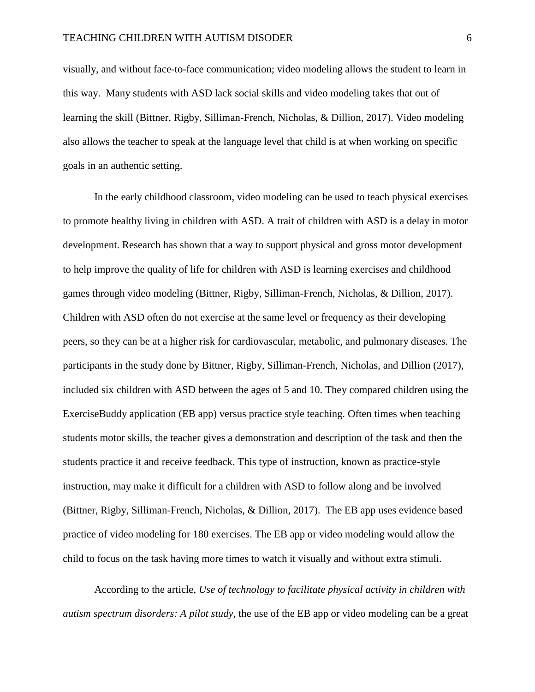visually, and without face-to-face communication; video modeling allows the student to learn in this way. Many students with ASD lack social skills and video modeling takes that out of learning the skill (Bittner, Rigby, Silliman-French, Nicholas, & Dillion, 2017). Video modeling also allows the teacher to speak at the language level that child is at when working on specific goals in an authentic setting.

In the early childhood classroom, video modeling can be used to teach physical exercises to promote healthy living in children with ASD. A trait of children with ASD is a delay in motor development. Research has shown that a way to support physical and gross motor development to help improve the quality of life for children with ASD is learning exercises and childhood games through video modeling (Bittner, Rigby, Silliman-French, Nicholas, & Dillion, 2017). Children with ASD often do not exercise at the same level or frequency as their developing peers, so they can be at a higher risk for cardiovascular, metabolic, and pulmonary diseases. The participants in the study done by Bittner, Rigby, Silliman-French, Nicholas, and Dillion (2017), included six children with ASD between the ages of 5 and 10. They compared children using the ExerciseBuddy application (EB app) versus practice style teaching. Often times when teaching students motor skills, the teacher gives a demonstration and description of the task and then the students practice it and receive feedback. This type of instruction, known as practice-style instruction, may make it difficult for a children with ASD to follow along and be involved (Bittner, Rigby, Silliman-French, Nicholas, & Dillion, 2017). The EB app uses evidence based practice of video modeling for 180 exercises. The EB app or video modeling would allow the child to focus on the task having more times to watch it visually and without extra stimuli.

According to the article, *Use of technology to facilitate physical activity in children with autism spectrum disorders: A pilot study,* the use of the EB app or video modeling can be a great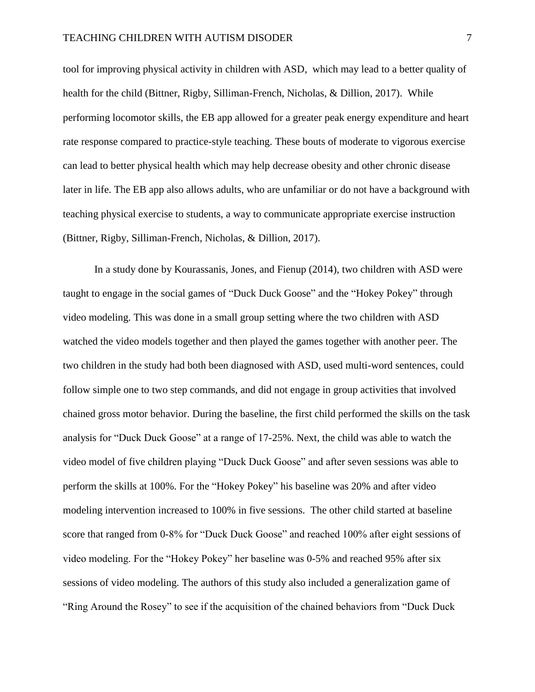#### TEACHING CHILDREN WITH AUTISM DISODER 7

tool for improving physical activity in children with ASD, which may lead to a better quality of health for the child (Bittner, Rigby, Silliman-French, Nicholas, & Dillion, 2017). While performing locomotor skills, the EB app allowed for a greater peak energy expenditure and heart rate response compared to practice-style teaching. These bouts of moderate to vigorous exercise can lead to better physical health which may help decrease obesity and other chronic disease later in life. The EB app also allows adults, who are unfamiliar or do not have a background with teaching physical exercise to students, a way to communicate appropriate exercise instruction (Bittner, Rigby, Silliman-French, Nicholas, & Dillion, 2017).

In a study done by Kourassanis, Jones, and Fienup (2014), two children with ASD were taught to engage in the social games of "Duck Duck Goose" and the "Hokey Pokey" through video modeling. This was done in a small group setting where the two children with ASD watched the video models together and then played the games together with another peer. The two children in the study had both been diagnosed with ASD, used multi-word sentences, could follow simple one to two step commands, and did not engage in group activities that involved chained gross motor behavior. During the baseline, the first child performed the skills on the task analysis for "Duck Duck Goose" at a range of 17-25%. Next, the child was able to watch the video model of five children playing "Duck Duck Goose" and after seven sessions was able to perform the skills at 100%. For the "Hokey Pokey" his baseline was 20% and after video modeling intervention increased to 100% in five sessions. The other child started at baseline score that ranged from 0-8% for "Duck Duck Goose" and reached 100% after eight sessions of video modeling. For the "Hokey Pokey" her baseline was 0-5% and reached 95% after six sessions of video modeling. The authors of this study also included a generalization game of "Ring Around the Rosey" to see if the acquisition of the chained behaviors from "Duck Duck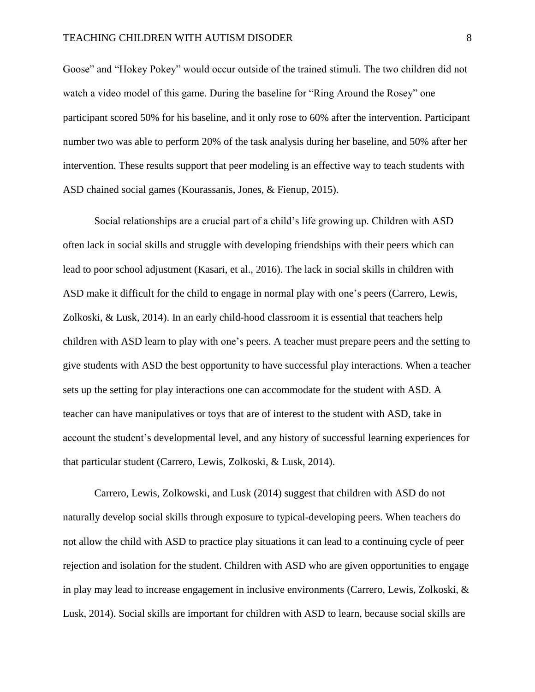#### TEACHING CHILDREN WITH AUTISM DISODER 8

Goose" and "Hokey Pokey" would occur outside of the trained stimuli. The two children did not watch a video model of this game. During the baseline for "Ring Around the Rosey" one participant scored 50% for his baseline, and it only rose to 60% after the intervention. Participant number two was able to perform 20% of the task analysis during her baseline, and 50% after her intervention. These results support that peer modeling is an effective way to teach students with ASD chained social games (Kourassanis, Jones, & Fienup, 2015).

Social relationships are a crucial part of a child's life growing up. Children with ASD often lack in social skills and struggle with developing friendships with their peers which can lead to poor school adjustment (Kasari, et al., 2016). The lack in social skills in children with ASD make it difficult for the child to engage in normal play with one's peers (Carrero, Lewis, Zolkoski, & Lusk, 2014). In an early child-hood classroom it is essential that teachers help children with ASD learn to play with one's peers. A teacher must prepare peers and the setting to give students with ASD the best opportunity to have successful play interactions. When a teacher sets up the setting for play interactions one can accommodate for the student with ASD. A teacher can have manipulatives or toys that are of interest to the student with ASD, take in account the student's developmental level, and any history of successful learning experiences for that particular student (Carrero, Lewis, Zolkoski, & Lusk, 2014).

Carrero, Lewis, Zolkowski, and Lusk (2014) suggest that children with ASD do not naturally develop social skills through exposure to typical-developing peers. When teachers do not allow the child with ASD to practice play situations it can lead to a continuing cycle of peer rejection and isolation for the student. Children with ASD who are given opportunities to engage in play may lead to increase engagement in inclusive environments (Carrero, Lewis, Zolkoski, & Lusk, 2014). Social skills are important for children with ASD to learn, because social skills are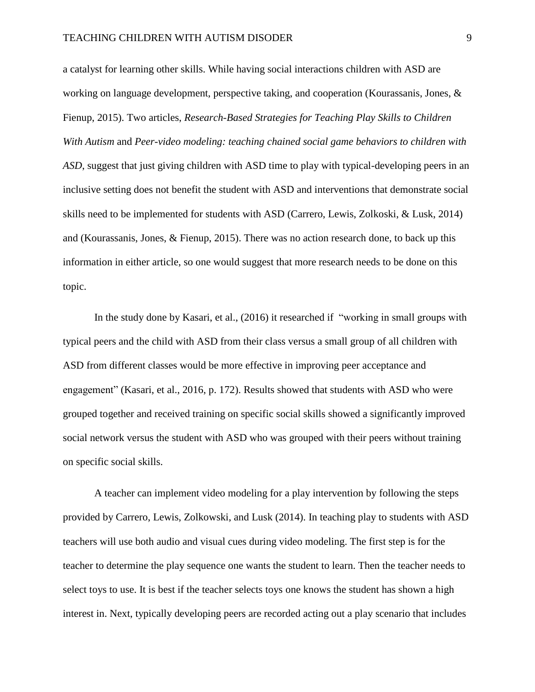a catalyst for learning other skills. While having social interactions children with ASD are working on language development, perspective taking, and cooperation (Kourassanis, Jones, & Fienup, 2015). Two articles, *Research-Based Strategies for Teaching Play Skills to Children With Autism* and *Peer-video modeling: teaching chained social game behaviors to children with ASD*, suggest that just giving children with ASD time to play with typical-developing peers in an inclusive setting does not benefit the student with ASD and interventions that demonstrate social skills need to be implemented for students with ASD (Carrero, Lewis, Zolkoski, & Lusk, 2014) and (Kourassanis, Jones, & Fienup, 2015). There was no action research done, to back up this information in either article, so one would suggest that more research needs to be done on this topic.

In the study done by Kasari, et al., (2016) it researched if "working in small groups with typical peers and the child with ASD from their class versus a small group of all children with ASD from different classes would be more effective in improving peer acceptance and engagement" (Kasari, et al., 2016, p. 172). Results showed that students with ASD who were grouped together and received training on specific social skills showed a significantly improved social network versus the student with ASD who was grouped with their peers without training on specific social skills.

A teacher can implement video modeling for a play intervention by following the steps provided by Carrero, Lewis, Zolkowski, and Lusk (2014). In teaching play to students with ASD teachers will use both audio and visual cues during video modeling. The first step is for the teacher to determine the play sequence one wants the student to learn. Then the teacher needs to select toys to use. It is best if the teacher selects toys one knows the student has shown a high interest in. Next, typically developing peers are recorded acting out a play scenario that includes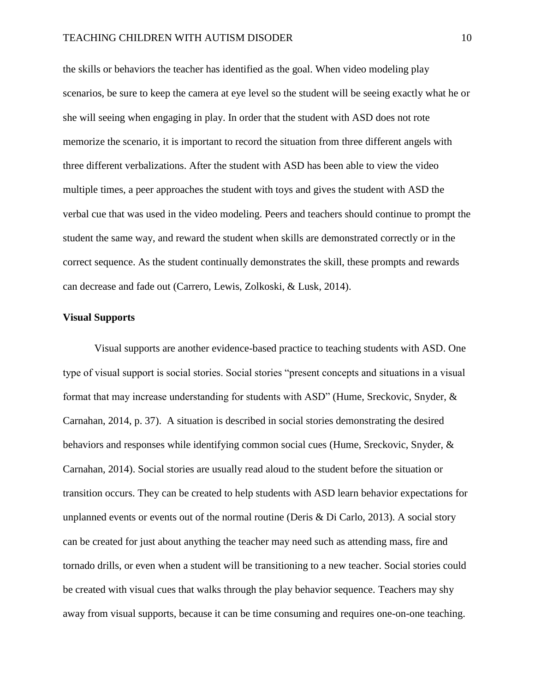the skills or behaviors the teacher has identified as the goal. When video modeling play scenarios, be sure to keep the camera at eye level so the student will be seeing exactly what he or she will seeing when engaging in play. In order that the student with ASD does not rote memorize the scenario, it is important to record the situation from three different angels with three different verbalizations. After the student with ASD has been able to view the video multiple times, a peer approaches the student with toys and gives the student with ASD the verbal cue that was used in the video modeling. Peers and teachers should continue to prompt the student the same way, and reward the student when skills are demonstrated correctly or in the correct sequence. As the student continually demonstrates the skill, these prompts and rewards can decrease and fade out (Carrero, Lewis, Zolkoski, & Lusk, 2014).

#### **Visual Supports**

Visual supports are another evidence-based practice to teaching students with ASD. One type of visual support is social stories. Social stories "present concepts and situations in a visual format that may increase understanding for students with ASD" (Hume, Sreckovic, Snyder, & Carnahan, 2014, p. 37). A situation is described in social stories demonstrating the desired behaviors and responses while identifying common social cues (Hume, Sreckovic, Snyder, & Carnahan, 2014). Social stories are usually read aloud to the student before the situation or transition occurs. They can be created to help students with ASD learn behavior expectations for unplanned events or events out of the normal routine (Deris & Di Carlo, 2013). A social story can be created for just about anything the teacher may need such as attending mass, fire and tornado drills, or even when a student will be transitioning to a new teacher. Social stories could be created with visual cues that walks through the play behavior sequence. Teachers may shy away from visual supports, because it can be time consuming and requires one-on-one teaching.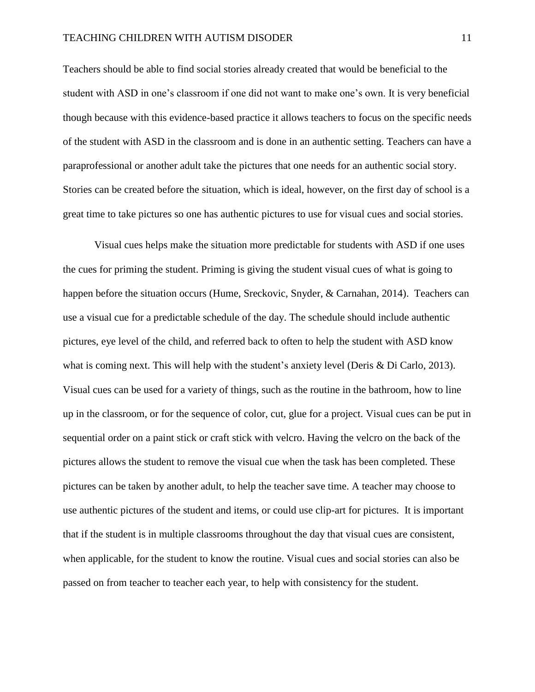#### TEACHING CHILDREN WITH AUTISM DISODER 11

Teachers should be able to find social stories already created that would be beneficial to the student with ASD in one's classroom if one did not want to make one's own. It is very beneficial though because with this evidence-based practice it allows teachers to focus on the specific needs of the student with ASD in the classroom and is done in an authentic setting. Teachers can have a paraprofessional or another adult take the pictures that one needs for an authentic social story. Stories can be created before the situation, which is ideal, however, on the first day of school is a great time to take pictures so one has authentic pictures to use for visual cues and social stories.

Visual cues helps make the situation more predictable for students with ASD if one uses the cues for priming the student. Priming is giving the student visual cues of what is going to happen before the situation occurs (Hume, Sreckovic, Snyder, & Carnahan, 2014). Teachers can use a visual cue for a predictable schedule of the day. The schedule should include authentic pictures, eye level of the child, and referred back to often to help the student with ASD know what is coming next. This will help with the student's anxiety level (Deris & Di Carlo, 2013). Visual cues can be used for a variety of things, such as the routine in the bathroom, how to line up in the classroom, or for the sequence of color, cut, glue for a project. Visual cues can be put in sequential order on a paint stick or craft stick with velcro. Having the velcro on the back of the pictures allows the student to remove the visual cue when the task has been completed. These pictures can be taken by another adult, to help the teacher save time. A teacher may choose to use authentic pictures of the student and items, or could use clip-art for pictures. It is important that if the student is in multiple classrooms throughout the day that visual cues are consistent, when applicable, for the student to know the routine. Visual cues and social stories can also be passed on from teacher to teacher each year, to help with consistency for the student.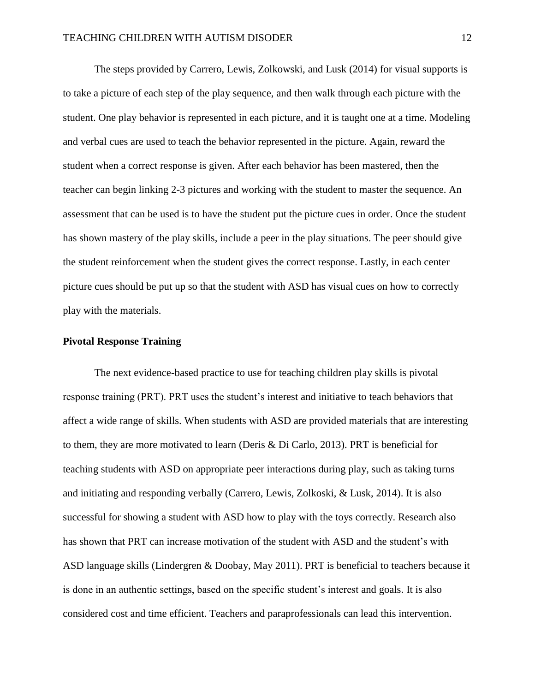The steps provided by Carrero, Lewis, Zolkowski, and Lusk (2014) for visual supports is to take a picture of each step of the play sequence, and then walk through each picture with the student. One play behavior is represented in each picture, and it is taught one at a time. Modeling and verbal cues are used to teach the behavior represented in the picture. Again, reward the student when a correct response is given. After each behavior has been mastered, then the teacher can begin linking 2-3 pictures and working with the student to master the sequence. An assessment that can be used is to have the student put the picture cues in order. Once the student has shown mastery of the play skills, include a peer in the play situations. The peer should give the student reinforcement when the student gives the correct response. Lastly, in each center picture cues should be put up so that the student with ASD has visual cues on how to correctly play with the materials.

### **Pivotal Response Training**

The next evidence-based practice to use for teaching children play skills is pivotal response training (PRT). PRT uses the student's interest and initiative to teach behaviors that affect a wide range of skills. When students with ASD are provided materials that are interesting to them, they are more motivated to learn (Deris & Di Carlo, 2013). PRT is beneficial for teaching students with ASD on appropriate peer interactions during play, such as taking turns and initiating and responding verbally (Carrero, Lewis, Zolkoski, & Lusk, 2014). It is also successful for showing a student with ASD how to play with the toys correctly. Research also has shown that PRT can increase motivation of the student with ASD and the student's with ASD language skills (Lindergren & Doobay, May 2011). PRT is beneficial to teachers because it is done in an authentic settings, based on the specific student's interest and goals. It is also considered cost and time efficient. Teachers and paraprofessionals can lead this intervention.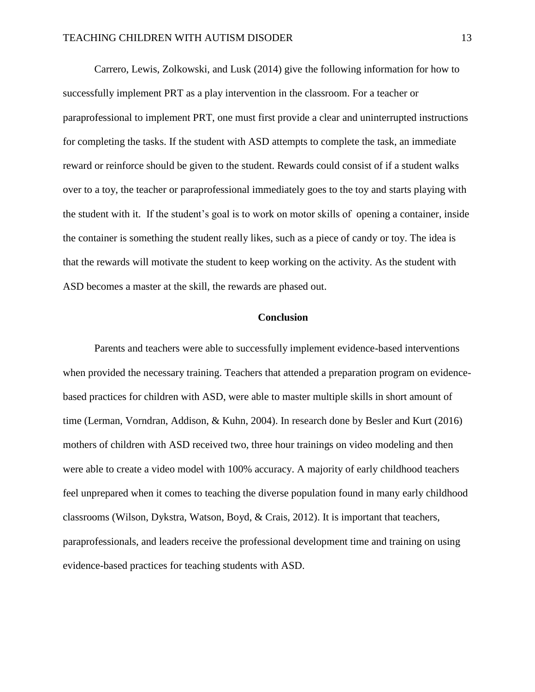Carrero, Lewis, Zolkowski, and Lusk (2014) give the following information for how to successfully implement PRT as a play intervention in the classroom. For a teacher or paraprofessional to implement PRT, one must first provide a clear and uninterrupted instructions for completing the tasks. If the student with ASD attempts to complete the task, an immediate reward or reinforce should be given to the student. Rewards could consist of if a student walks over to a toy, the teacher or paraprofessional immediately goes to the toy and starts playing with the student with it. If the student's goal is to work on motor skills of opening a container, inside the container is something the student really likes, such as a piece of candy or toy. The idea is that the rewards will motivate the student to keep working on the activity. As the student with ASD becomes a master at the skill, the rewards are phased out.

# **Conclusion**

Parents and teachers were able to successfully implement evidence-based interventions when provided the necessary training. Teachers that attended a preparation program on evidencebased practices for children with ASD, were able to master multiple skills in short amount of time (Lerman, Vorndran, Addison, & Kuhn, 2004). In research done by Besler and Kurt (2016) mothers of children with ASD received two, three hour trainings on video modeling and then were able to create a video model with 100% accuracy. A majority of early childhood teachers feel unprepared when it comes to teaching the diverse population found in many early childhood classrooms (Wilson, Dykstra, Watson, Boyd, & Crais, 2012). It is important that teachers, paraprofessionals, and leaders receive the professional development time and training on using evidence-based practices for teaching students with ASD.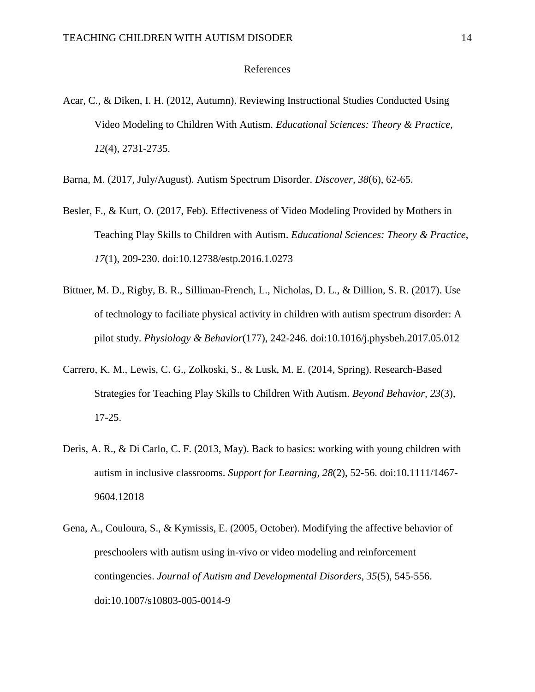#### References

- Acar, C., & Diken, I. H. (2012, Autumn). Reviewing Instructional Studies Conducted Using Video Modeling to Children With Autism. *Educational Sciences: Theory & Practice, 12*(4), 2731-2735.
- Barna, M. (2017, July/August). Autism Spectrum Disorder. *Discover, 38*(6), 62-65.
- Besler, F., & Kurt, O. (2017, Feb). Effectiveness of Video Modeling Provided by Mothers in Teaching Play Skills to Children with Autism. *Educational Sciences: Theory & Practice, 17*(1), 209-230. doi:10.12738/estp.2016.1.0273
- Bittner, M. D., Rigby, B. R., Silliman-French, L., Nicholas, D. L., & Dillion, S. R. (2017). Use of technology to faciliate physical activity in children with autism spectrum disorder: A pilot study. *Physiology & Behavior*(177), 242-246. doi:10.1016/j.physbeh.2017.05.012
- Carrero, K. M., Lewis, C. G., Zolkoski, S., & Lusk, M. E. (2014, Spring). Research-Based Strategies for Teaching Play Skills to Children With Autism. *Beyond Behavior, 23*(3), 17-25.
- Deris, A. R., & Di Carlo, C. F. (2013, May). Back to basics: working with young children with autism in inclusive classrooms. *Support for Learning, 28*(2), 52-56. doi:10.1111/1467- 9604.12018
- Gena, A., Couloura, S., & Kymissis, E. (2005, October). Modifying the affective behavior of preschoolers with autism using in-vivo or video modeling and reinforcement contingencies. *Journal of Autism and Developmental Disorders, 35*(5), 545-556. doi:10.1007/s10803-005-0014-9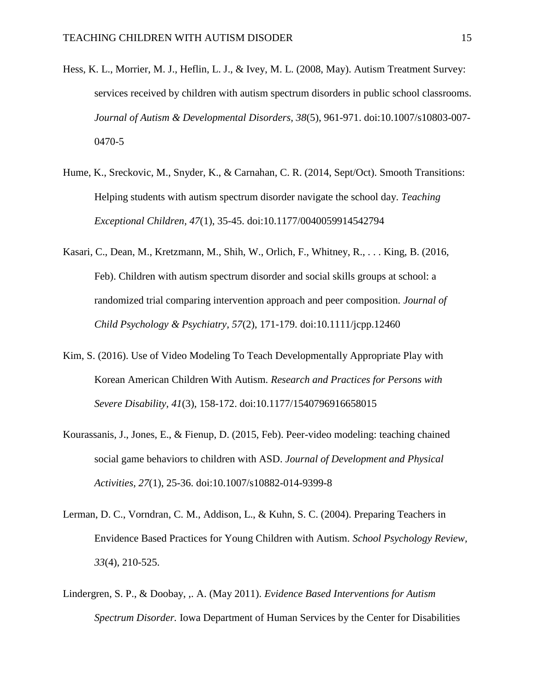- Hess, K. L., Morrier, M. J., Heflin, L. J., & Ivey, M. L. (2008, May). Autism Treatment Survey: services received by children with autism spectrum disorders in public school classrooms. *Journal of Autism & Developmental Disorders, 38*(5), 961-971. doi:10.1007/s10803-007- 0470-5
- Hume, K., Sreckovic, M., Snyder, K., & Carnahan, C. R. (2014, Sept/Oct). Smooth Transitions: Helping students with autism spectrum disorder navigate the school day. *Teaching Exceptional Children, 47*(1), 35-45. doi:10.1177/0040059914542794
- Kasari, C., Dean, M., Kretzmann, M., Shih, W., Orlich, F., Whitney, R., . . . King, B. (2016, Feb). Children with autism spectrum disorder and social skills groups at school: a randomized trial comparing intervention approach and peer composition. *Journal of Child Psychology & Psychiatry, 57*(2), 171-179. doi:10.1111/jcpp.12460
- Kim, S. (2016). Use of Video Modeling To Teach Developmentally Appropriate Play with Korean American Children With Autism. *Research and Practices for Persons with Severe Disability, 41*(3), 158-172. doi:10.1177/1540796916658015
- Kourassanis, J., Jones, E., & Fienup, D. (2015, Feb). Peer-video modeling: teaching chained social game behaviors to children with ASD. *Journal of Development and Physical Activities, 27*(1), 25-36. doi:10.1007/s10882-014-9399-8
- Lerman, D. C., Vorndran, C. M., Addison, L., & Kuhn, S. C. (2004). Preparing Teachers in Envidence Based Practices for Young Children with Autism. *School Psychology Review, 33*(4), 210-525.
- Lindergren, S. P., & Doobay, ,. A. (May 2011). *Evidence Based Interventions for Autism Spectrum Disorder.* Iowa Department of Human Services by the Center for Disabilities